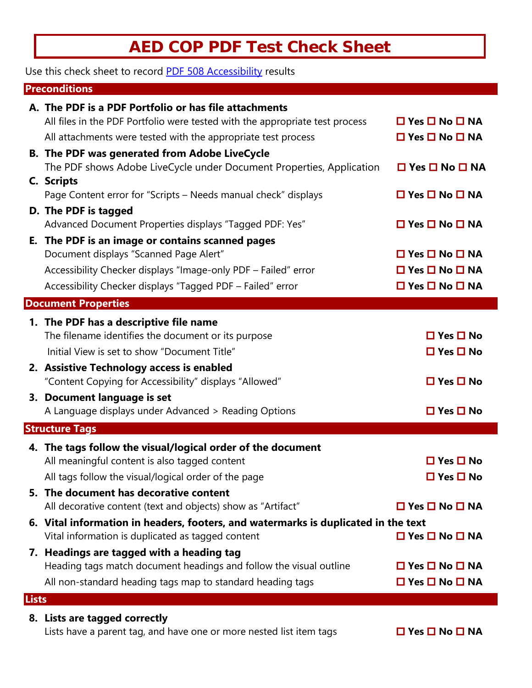## **AED COP PDF Test Check Sheet**

Use this check sheet to record PDF [508 Accessibility](https://www.ssa.gov/accessibility/checklists/pdf/pdfchecklist.html) results

## **Preconditions**

|              | A. The PDF is a PDF Portfolio or has file attachments<br>All files in the PDF Portfolio were tested with the appropriate test process | $\Box$ Yes $\Box$ No $\Box$ NA |
|--------------|---------------------------------------------------------------------------------------------------------------------------------------|--------------------------------|
|              |                                                                                                                                       | $\Box$ Yes $\Box$ No $\Box$ NA |
|              | All attachments were tested with the appropriate test process                                                                         |                                |
|              | <b>B. The PDF was generated from Adobe LiveCycle</b><br>The PDF shows Adobe LiveCycle under Document Properties, Application          | $\Box$ Yes $\Box$ No $\Box$ NA |
|              | C. Scripts                                                                                                                            |                                |
|              | Page Content error for "Scripts – Needs manual check" displays                                                                        | $\Box$ Yes $\Box$ No $\Box$ NA |
|              | D. The PDF is tagged                                                                                                                  |                                |
|              | Advanced Document Properties displays "Tagged PDF: Yes"                                                                               | $\Box$ Yes $\Box$ No $\Box$ NA |
|              | E. The PDF is an image or contains scanned pages                                                                                      |                                |
|              | Document displays "Scanned Page Alert"                                                                                                | $\Box$ Yes $\Box$ No $\Box$ NA |
|              | Accessibility Checker displays "Image-only PDF - Failed" error                                                                        | $\Box$ Yes $\Box$ No $\Box$ NA |
|              | Accessibility Checker displays "Tagged PDF - Failed" error                                                                            | $\Box$ Yes $\Box$ No $\Box$ NA |
|              | <b>Document Properties</b>                                                                                                            |                                |
|              | 1. The PDF has a descriptive file name                                                                                                |                                |
|              | The filename identifies the document or its purpose                                                                                   | $\Box$ Yes $\Box$ No           |
|              | Initial View is set to show "Document Title"                                                                                          | $\Box$ Yes $\Box$ No           |
|              | 2. Assistive Technology access is enabled                                                                                             |                                |
|              | "Content Copying for Accessibility" displays "Allowed"                                                                                | $\Box$ Yes $\Box$ No           |
|              | 3. Document language is set                                                                                                           |                                |
|              | A Language displays under Advanced > Reading Options                                                                                  | $\Box$ Yes $\Box$ No           |
|              | <b>Structure Tags</b>                                                                                                                 |                                |
|              | 4. The tags follow the visual/logical order of the document                                                                           |                                |
|              | All meaningful content is also tagged content                                                                                         | $\Box$ Yes $\Box$ No           |
|              | All tags follow the visual/logical order of the page                                                                                  | $\Box$ Yes $\Box$ No           |
|              | 5. The document has decorative content                                                                                                |                                |
|              | All decorative content (text and objects) show as "Artifact"                                                                          | $\Box$ Yes $\Box$ No $\Box$ NA |
|              | 6. Vital information in headers, footers, and watermarks is duplicated in the text                                                    |                                |
|              | Vital information is duplicated as tagged content                                                                                     | $\Box$ Yes $\Box$ No $\Box$ NA |
|              | 7. Headings are tagged with a heading tag                                                                                             |                                |
|              | Heading tags match document headings and follow the visual outline                                                                    | $\Box$ Yes $\Box$ No $\Box$ NA |
|              | All non-standard heading tags map to standard heading tags                                                                            | $\Box$ Yes $\Box$ No $\Box$ NA |
| <b>Lists</b> |                                                                                                                                       |                                |

## **8. Lists are tagged correctly**

Lists have a parent tag, and have one or more nested list item tags **□ Yes □ No □ NA**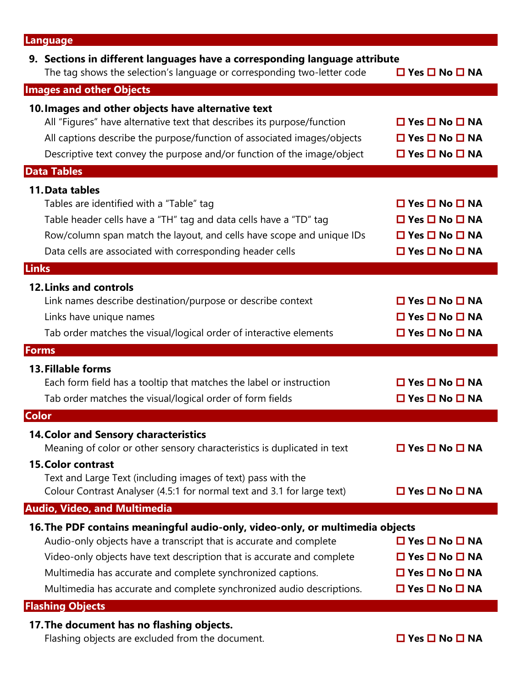| <b>Language</b>                                                                                                                                                                                                                                                                                                                                                       |                                                                                                                                                        |
|-----------------------------------------------------------------------------------------------------------------------------------------------------------------------------------------------------------------------------------------------------------------------------------------------------------------------------------------------------------------------|--------------------------------------------------------------------------------------------------------------------------------------------------------|
| 9. Sections in different languages have a corresponding language attribute<br>The tag shows the selection's language or corresponding two-letter code                                                                                                                                                                                                                 | $\Box$ Yes $\Box$ No $\Box$ NA                                                                                                                         |
| <b>Images and other Objects</b>                                                                                                                                                                                                                                                                                                                                       |                                                                                                                                                        |
| 10. Images and other objects have alternative text<br>All "Figures" have alternative text that describes its purpose/function<br>All captions describe the purpose/function of associated images/objects<br>Descriptive text convey the purpose and/or function of the image/object                                                                                   | $\Box$ Yes $\Box$ No $\Box$ NA<br>$\Box$ Yes $\Box$ No $\Box$ NA<br>□ Yes □ No □ NA                                                                    |
| <b>Data Tables</b>                                                                                                                                                                                                                                                                                                                                                    |                                                                                                                                                        |
| 11. Data tables<br>Tables are identified with a "Table" tag<br>Table header cells have a "TH" tag and data cells have a "TD" tag<br>Row/column span match the layout, and cells have scope and unique IDs<br>Data cells are associated with corresponding header cells                                                                                                | $\Box$ Yes $\Box$ No $\Box$ NA<br>$\Box$ Yes $\Box$ No $\Box$ NA<br>$\Box$ Yes $\Box$ No $\Box$ NA<br>$\square$ Yes $\square$ No $\square$ NA          |
| Links                                                                                                                                                                                                                                                                                                                                                                 |                                                                                                                                                        |
| <b>12. Links and controls</b><br>Link names describe destination/purpose or describe context<br>Links have unique names<br>Tab order matches the visual/logical order of interactive elements                                                                                                                                                                         | $\Box$ Yes $\Box$ No $\Box$ NA<br>$\Box$ Yes $\Box$ No $\Box$ NA<br>$\Box$ Yes $\Box$ No $\Box$ NA                                                     |
| <b>Forms</b>                                                                                                                                                                                                                                                                                                                                                          |                                                                                                                                                        |
| <b>13. Fillable forms</b><br>Each form field has a tooltip that matches the label or instruction<br>Tab order matches the visual/logical order of form fields                                                                                                                                                                                                         | $\Box$ Yes $\Box$ No $\Box$ NA<br>$\Box$ Yes $\Box$ No $\Box$ NA                                                                                       |
| <b>Color</b>                                                                                                                                                                                                                                                                                                                                                          |                                                                                                                                                        |
| <b>14. Color and Sensory characteristics</b><br>Meaning of color or other sensory characteristics is duplicated in text<br><b>15. Color contrast</b>                                                                                                                                                                                                                  | $\Box$ Yes $\Box$ No $\Box$ NA                                                                                                                         |
| Text and Large Text (including images of text) pass with the<br>Colour Contrast Analyser (4.5:1 for normal text and 3.1 for large text)                                                                                                                                                                                                                               | $\Box$ Yes $\Box$ No $\Box$ NA                                                                                                                         |
| <b>Audio, Video, and Multimedia</b>                                                                                                                                                                                                                                                                                                                                   |                                                                                                                                                        |
| 16. The PDF contains meaningful audio-only, video-only, or multimedia objects<br>Audio-only objects have a transcript that is accurate and complete<br>Video-only objects have text description that is accurate and complete<br>Multimedia has accurate and complete synchronized captions.<br>Multimedia has accurate and complete synchronized audio descriptions. | $\Box$ Yes $\Box$ No $\Box$ NA<br>$\Box$ Yes $\Box$ No $\Box$ NA<br>$\square$ Yes $\square$ No $\square$ NA<br>$\square$ Yes $\square$ No $\square$ NA |
| <b>Flashing Objects</b>                                                                                                                                                                                                                                                                                                                                               |                                                                                                                                                        |

**17.The document has no flashing objects.**

Flashing objects are excluded from the document. **The COV COVER SIGNATE:** No **D** NA